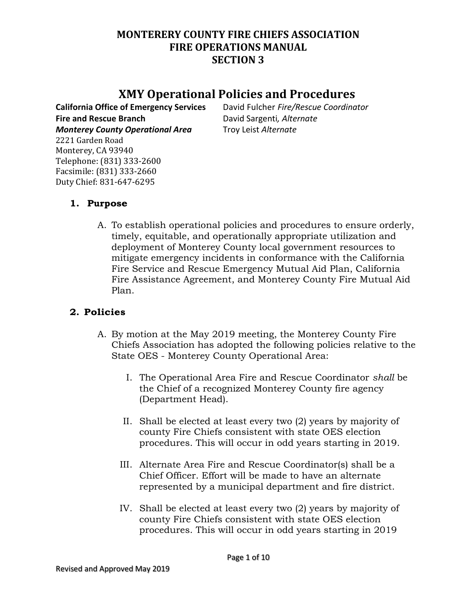## **MONTERERY COUNTY FIRE CHIEFS ASSOCIATION FIRE OPERATIONS MANUAL SECTION 3**

# **XMY Operational Policies and Procedures**

**California Office of Emergency Services** David Fulcher *Fire/Rescue Coordinator* **Fire and Rescue Branch** David Sargenti*, Alternate Monterey County Operational Area* Troy Leist *Alternate*

2221 Garden Road Monterey, CA 93940 Telephone: (831) 333-2600 Facsimile: (831) 333-2660 Duty Chief: 831-647-6295

## **1. Purpose**

A. To establish operational policies and procedures to ensure orderly, timely, equitable, and operationally appropriate utilization and deployment of Monterey County local government resources to mitigate emergency incidents in conformance with the California Fire Service and Rescue Emergency Mutual Aid Plan, California Fire Assistance Agreement, and Monterey County Fire Mutual Aid Plan.

### **2. Policies**

- A. By motion at the May 2019 meeting, the Monterey County Fire Chiefs Association has adopted the following policies relative to the State OES - Monterey County Operational Area:
	- I. The Operational Area Fire and Rescue Coordinator *shall* be the Chief of a recognized Monterey County fire agency (Department Head).
	- II. Shall be elected at least every two (2) years by majority of county Fire Chiefs consistent with state OES election procedures. This will occur in odd years starting in 2019.
	- III. Alternate Area Fire and Rescue Coordinator(s) shall be a Chief Officer. Effort will be made to have an alternate represented by a municipal department and fire district.
	- IV. Shall be elected at least every two (2) years by majority of county Fire Chiefs consistent with state OES election procedures. This will occur in odd years starting in 2019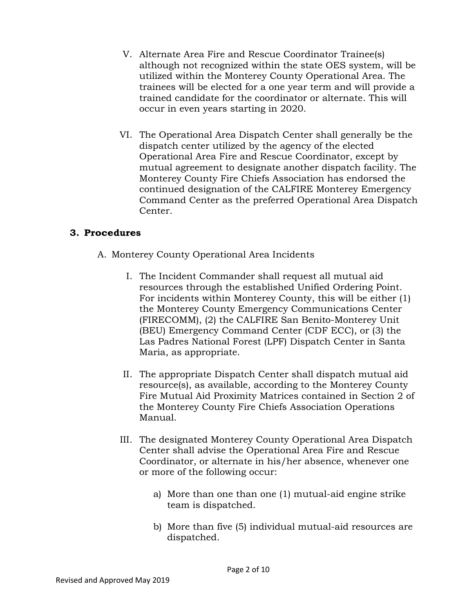- V. Alternate Area Fire and Rescue Coordinator Trainee(s) although not recognized within the state OES system, will be utilized within the Monterey County Operational Area. The trainees will be elected for a one year term and will provide a trained candidate for the coordinator or alternate. This will occur in even years starting in 2020.
- VI. The Operational Area Dispatch Center shall generally be the dispatch center utilized by the agency of the elected Operational Area Fire and Rescue Coordinator, except by mutual agreement to designate another dispatch facility. The Monterey County Fire Chiefs Association has endorsed the continued designation of the CALFIRE Monterey Emergency Command Center as the preferred Operational Area Dispatch Center.

#### **3. Procedures**

- A. Monterey County Operational Area Incidents
	- I. The Incident Commander shall request all mutual aid resources through the established Unified Ordering Point. For incidents within Monterey County, this will be either (1) the Monterey County Emergency Communications Center (FIRECOMM), (2) the CALFIRE San Benito-Monterey Unit (BEU) Emergency Command Center (CDF ECC), or (3) the Las Padres National Forest (LPF) Dispatch Center in Santa Maria, as appropriate.
	- II. The appropriate Dispatch Center shall dispatch mutual aid resource(s), as available, according to the Monterey County Fire Mutual Aid Proximity Matrices contained in Section 2 of the Monterey County Fire Chiefs Association Operations Manual.
	- III. The designated Monterey County Operational Area Dispatch Center shall advise the Operational Area Fire and Rescue Coordinator, or alternate in his/her absence, whenever one or more of the following occur:
		- a) More than one than one (1) mutual-aid engine strike team is dispatched.
		- b) More than five (5) individual mutual-aid resources are dispatched.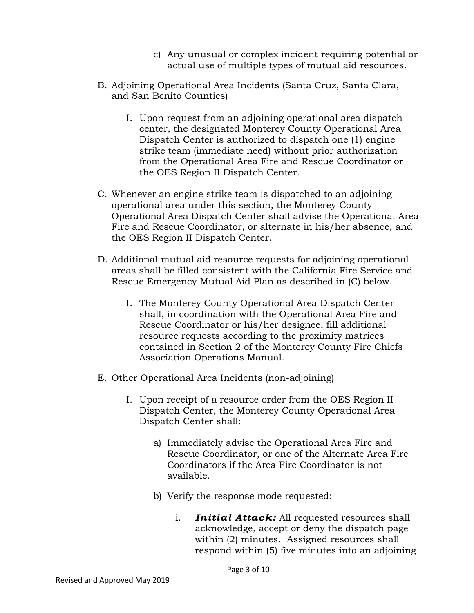- c) Any unusual or complex incident requiring potential or actual use of multiple types of mutual aid resources.
- B. Adjoining Operational Area Incidents (Santa Cruz, Santa Clara, and San Benito Counties)
	- I. Upon request from an adjoining operational area dispatch center, the designated Monterey County Operational Area Dispatch Center is authorized to dispatch one (1) engine strike team (immediate need) without prior authorization from the Operational Area Fire and Rescue Coordinator or the OES Region II Dispatch Center.
- C. Whenever an engine strike team is dispatched to an adjoining operational area under this section, the Monterey County Operational Area Dispatch Center shall advise the Operational Area Fire and Rescue Coordinator, or alternate in his/her absence, and the OES Region II Dispatch Center.
- D. Additional mutual aid resource requests for adjoining operational areas shall be filled consistent with the California Fire Service and Rescue Emergency Mutual Aid Plan as described in (C) below.
	- I. The Monterey County Operational Area Dispatch Center shall, in coordination with the Operational Area Fire and Rescue Coordinator or his/her designee, fill additional resource requests according to the proximity matrices contained in Section 2 of the Monterey County Fire Chiefs Association Operations Manual.
- E. Other Operational Area Incidents (non-adjoining)
	- I. Upon receipt of a resource order from the OES Region II Dispatch Center, the Monterey County Operational Area Dispatch Center shall:
		- a) Immediately advise the Operational Area Fire and Rescue Coordinator, or one of the Alternate Area Fire Coordinators if the Area Fire Coordinator is not available.
		- b) Verify the response mode requested:
			- i. *Initial Attack:* All requested resources shall acknowledge, accept or deny the dispatch page within (2) minutes. Assigned resources shall respond within (5) five minutes into an adjoining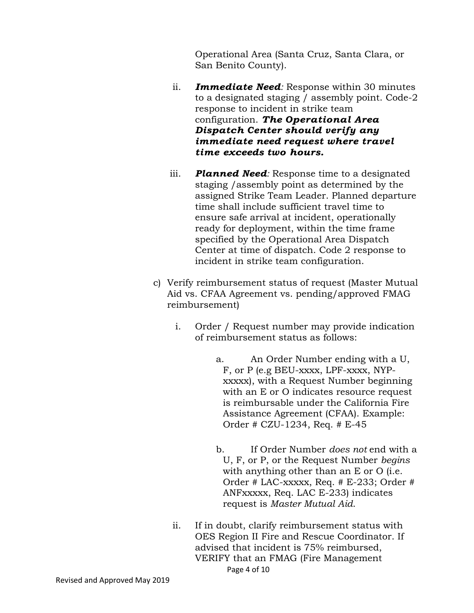Operational Area (Santa Cruz, Santa Clara, or San Benito County).

- ii. *Immediate Need:* Response within 30 minutes to a designated staging / assembly point. Code-2 response to incident in strike team configuration. *The Operational Area Dispatch Center should verify any immediate need request where travel time exceeds two hours.*
- iii. *Planned Need:* Response time to a designated staging /assembly point as determined by the assigned Strike Team Leader. Planned departure time shall include sufficient travel time to ensure safe arrival at incident, operationally ready for deployment, within the time frame specified by the Operational Area Dispatch Center at time of dispatch. Code 2 response to incident in strike team configuration.
- c) Verify reimbursement status of request (Master Mutual Aid vs. CFAA Agreement vs. pending/approved FMAG reimbursement)
	- i. Order / Request number may provide indication of reimbursement status as follows:
		- a. An Order Number ending with a U, F, or P (e.g BEU-xxxx, LPF-xxxx, NYPxxxxx), with a Request Number beginning with an E or O indicates resource request is reimbursable under the California Fire Assistance Agreement (CFAA). Example: Order # CZU-1234, Req. # E-45
		- b. If Order Number *does not* end with a U, F, or P, or the Request Number *begins* with anything other than an E or O (i.e. Order # LAC-xxxxx, Req. # E-233; Order # ANFxxxxx, Req. LAC E-233) indicates request is *Master Mutual Aid*.
	- Page 4 of 10 ii. If in doubt, clarify reimbursement status with OES Region II Fire and Rescue Coordinator. If advised that incident is 75% reimbursed, VERIFY that an FMAG (Fire Management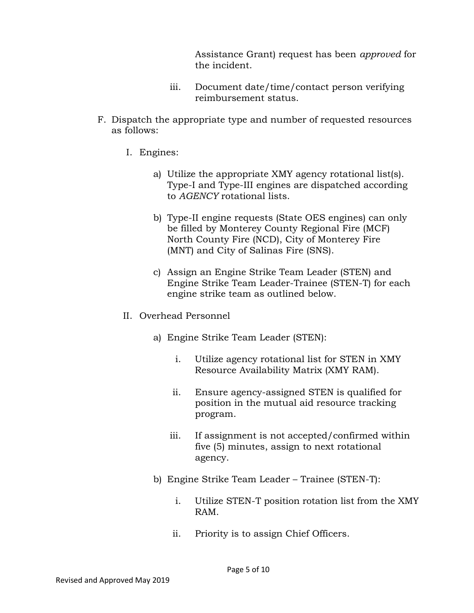Assistance Grant) request has been *approved* for the incident.

- iii. Document date/time/contact person verifying reimbursement status.
- F. Dispatch the appropriate type and number of requested resources as follows:
	- I. Engines:
		- a) Utilize the appropriate XMY agency rotational list(s). Type-I and Type-III engines are dispatched according to *AGENCY* rotational lists.
		- b) Type-II engine requests (State OES engines) can only be filled by Monterey County Regional Fire (MCF) North County Fire (NCD), City of Monterey Fire (MNT) and City of Salinas Fire (SNS).
		- c) Assign an Engine Strike Team Leader (STEN) and Engine Strike Team Leader-Trainee (STEN-T) for each engine strike team as outlined below.
	- II. Overhead Personnel
		- a) Engine Strike Team Leader (STEN):
			- i. Utilize agency rotational list for STEN in XMY Resource Availability Matrix (XMY RAM).
			- ii. Ensure agency-assigned STEN is qualified for position in the mutual aid resource tracking program.
			- iii. If assignment is not accepted/confirmed within five (5) minutes, assign to next rotational agency.
		- b) Engine Strike Team Leader Trainee (STEN-T):
			- i. Utilize STEN-T position rotation list from the XMY RAM.
			- ii. Priority is to assign Chief Officers.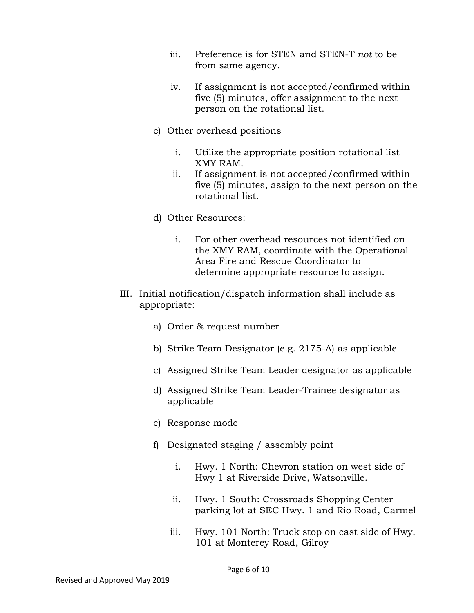- iii. Preference is for STEN and STEN-T *not* to be from same agency.
- iv. If assignment is not accepted/confirmed within five (5) minutes, offer assignment to the next person on the rotational list.
- c) Other overhead positions
	- i. Utilize the appropriate position rotational list XMY RAM.
	- ii. If assignment is not accepted/confirmed within five (5) minutes, assign to the next person on the rotational list.
- d) Other Resources:
	- i. For other overhead resources not identified on the XMY RAM, coordinate with the Operational Area Fire and Rescue Coordinator to determine appropriate resource to assign.
- III. Initial notification/dispatch information shall include as appropriate:
	- a) Order & request number
	- b) Strike Team Designator (e.g. 2175-A) as applicable
	- c) Assigned Strike Team Leader designator as applicable
	- d) Assigned Strike Team Leader-Trainee designator as applicable
	- e) Response mode
	- f) Designated staging / assembly point
		- i. Hwy. 1 North: Chevron station on west side of Hwy 1 at Riverside Drive, Watsonville.
		- ii. Hwy. 1 South: Crossroads Shopping Center parking lot at SEC Hwy. 1 and Rio Road, Carmel
		- iii. Hwy. 101 North: Truck stop on east side of Hwy. 101 at Monterey Road, Gilroy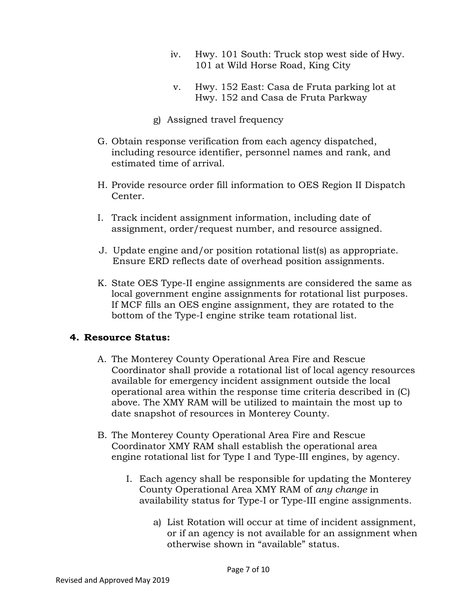- iv. Hwy. 101 South: Truck stop west side of Hwy. 101 at Wild Horse Road, King City
- v. Hwy. 152 East: Casa de Fruta parking lot at Hwy. 152 and Casa de Fruta Parkway
- g) Assigned travel frequency
- G. Obtain response verification from each agency dispatched, including resource identifier, personnel names and rank, and estimated time of arrival.
- H. Provide resource order fill information to OES Region II Dispatch Center.
- I. Track incident assignment information, including date of assignment, order/request number, and resource assigned.
- J. Update engine and/or position rotational list(s) as appropriate. Ensure ERD reflects date of overhead position assignments.
- K. State OES Type-II engine assignments are considered the same as local government engine assignments for rotational list purposes. If MCF fills an OES engine assignment, they are rotated to the bottom of the Type-I engine strike team rotational list.

#### **4. Resource Status:**

- A. The Monterey County Operational Area Fire and Rescue Coordinator shall provide a rotational list of local agency resources available for emergency incident assignment outside the local operational area within the response time criteria described in (C) above. The XMY RAM will be utilized to maintain the most up to date snapshot of resources in Monterey County.
- B. The Monterey County Operational Area Fire and Rescue Coordinator XMY RAM shall establish the operational area engine rotational list for Type I and Type-III engines, by agency.
	- I. Each agency shall be responsible for updating the Monterey County Operational Area XMY RAM of *any change* in availability status for Type-I or Type-III engine assignments.
		- a) List Rotation will occur at time of incident assignment, or if an agency is not available for an assignment when otherwise shown in "available" status.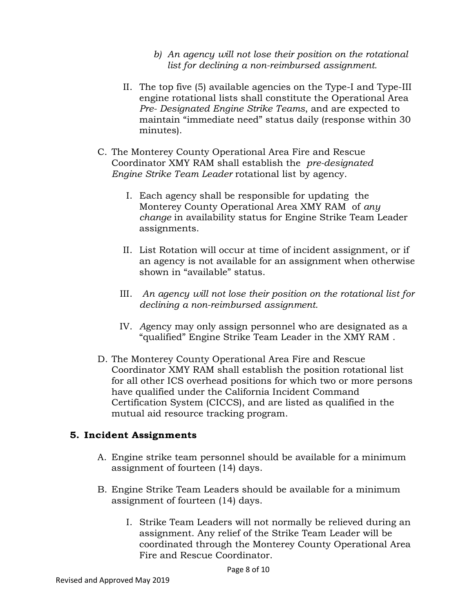- *b) An agency will not lose their position on the rotational list for declining a non-reimbursed assignment.*
- II. The top five (5) available agencies on the Type-I and Type-III engine rotational lists shall constitute the Operational Area *Pre- Designated Engine Strike Teams*, and are expected to maintain "immediate need" status daily (response within 30 minutes).
- C. The Monterey County Operational Area Fire and Rescue Coordinator XMY RAM shall establish the *pre-designated Engine Strike Team Leader* rotational list by agency.
	- I. Each agency shall be responsible for updating the Monterey County Operational Area XMY RAM of *any change* in availability status for Engine Strike Team Leader assignments.
	- II. List Rotation will occur at time of incident assignment, or if an agency is not available for an assignment when otherwise shown in "available" status.
	- III. *An agency will not lose their position on the rotational list for declining a non-reimbursed assignment.*
	- IV. *A*gency may only assign personnel who are designated as a "qualified" Engine Strike Team Leader in the XMY RAM .
- D. The Monterey County Operational Area Fire and Rescue Coordinator XMY RAM shall establish the position rotational list for all other ICS overhead positions for which two or more persons have qualified under the California Incident Command Certification System (CICCS), and are listed as qualified in the mutual aid resource tracking program.

#### **5. Incident Assignments**

- A. Engine strike team personnel should be available for a minimum assignment of fourteen (14) days.
- B. Engine Strike Team Leaders should be available for a minimum assignment of fourteen (14) days.
	- I. Strike Team Leaders will not normally be relieved during an assignment. Any relief of the Strike Team Leader will be coordinated through the Monterey County Operational Area Fire and Rescue Coordinator.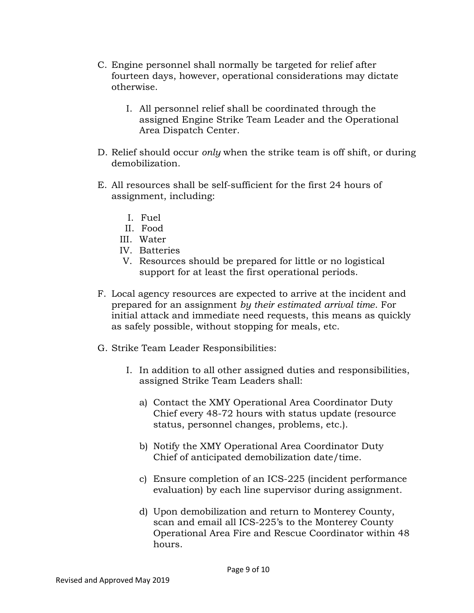- C. Engine personnel shall normally be targeted for relief after fourteen days, however, operational considerations may dictate otherwise.
	- I. All personnel relief shall be coordinated through the assigned Engine Strike Team Leader and the Operational Area Dispatch Center.
- D. Relief should occur *only* when the strike team is off shift, or during demobilization.
- E. All resources shall be self-sufficient for the first 24 hours of assignment, including:
	- I. Fuel
	- II. Food
	- III. Water
	- IV. Batteries
	- V. Resources should be prepared for little or no logistical support for at least the first operational periods.
- F. Local agency resources are expected to arrive at the incident and prepared for an assignment *by their estimated arrival time*. For initial attack and immediate need requests, this means as quickly as safely possible, without stopping for meals, etc.
- G. Strike Team Leader Responsibilities:
	- I. In addition to all other assigned duties and responsibilities, assigned Strike Team Leaders shall:
		- a) Contact the XMY Operational Area Coordinator Duty Chief every 48-72 hours with status update (resource status, personnel changes, problems, etc.).
		- b) Notify the XMY Operational Area Coordinator Duty Chief of anticipated demobilization date/time.
		- c) Ensure completion of an ICS-225 (incident performance evaluation) by each line supervisor during assignment.
		- d) Upon demobilization and return to Monterey County, scan and email all ICS-225's to the Monterey County Operational Area Fire and Rescue Coordinator within 48 hours.